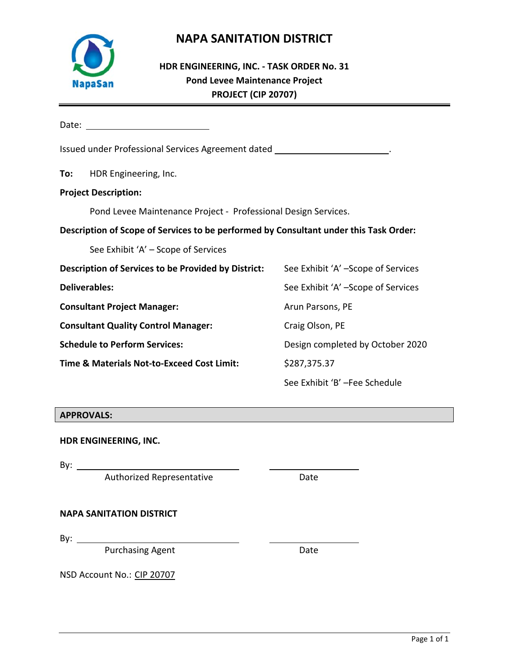

## **NAPA SANITATION DISTRICT**

## **HDR ENGINEERING, INC. ‐ TASK ORDER No. 31 Pond Levee Maintenance Project PROJECT (CIP 20707)**

Date:

| Issued under Professional Services Agreement dated _                                      |                                                                                       |                                    |  |  |  |  |  |  |  |  |  |
|-------------------------------------------------------------------------------------------|---------------------------------------------------------------------------------------|------------------------------------|--|--|--|--|--|--|--|--|--|
| To:                                                                                       | HDR Engineering, Inc.                                                                 |                                    |  |  |  |  |  |  |  |  |  |
| <b>Project Description:</b>                                                               |                                                                                       |                                    |  |  |  |  |  |  |  |  |  |
|                                                                                           | Pond Levee Maintenance Project - Professional Design Services.                        |                                    |  |  |  |  |  |  |  |  |  |
|                                                                                           | Description of Scope of Services to be performed by Consultant under this Task Order: |                                    |  |  |  |  |  |  |  |  |  |
|                                                                                           | See Exhibit 'A' – Scope of Services                                                   |                                    |  |  |  |  |  |  |  |  |  |
| Description of Services to be Provided by District:<br>See Exhibit 'A' -Scope of Services |                                                                                       |                                    |  |  |  |  |  |  |  |  |  |
|                                                                                           | <b>Deliverables:</b>                                                                  | See Exhibit 'A' -Scope of Services |  |  |  |  |  |  |  |  |  |
|                                                                                           | <b>Consultant Project Manager:</b>                                                    | Arun Parsons, PE                   |  |  |  |  |  |  |  |  |  |
|                                                                                           | <b>Consultant Quality Control Manager:</b>                                            | Craig Olson, PE                    |  |  |  |  |  |  |  |  |  |
|                                                                                           | <b>Schedule to Perform Services:</b>                                                  | Design completed by October 2020   |  |  |  |  |  |  |  |  |  |
|                                                                                           | Time & Materials Not-to-Exceed Cost Limit:                                            | \$287,375.37                       |  |  |  |  |  |  |  |  |  |
|                                                                                           |                                                                                       | See Exhibit 'B' -Fee Schedule      |  |  |  |  |  |  |  |  |  |

#### **APPROVALS:**

**HDR ENGINEERING, INC.** 

By:

Authorized Representative **Example 20 Fig. 2018** Date

**NAPA SANITATION DISTRICT** 

By:  $\_\_\_\_\_\_\_\_\_\_\_\_\_\_\_\_\_\_\_\_\_\_\_\_\_\_\_\_\_\_\_\_\_\_$ 

Purchasing Agent **Date** 

NSD Account No.: CIP 20707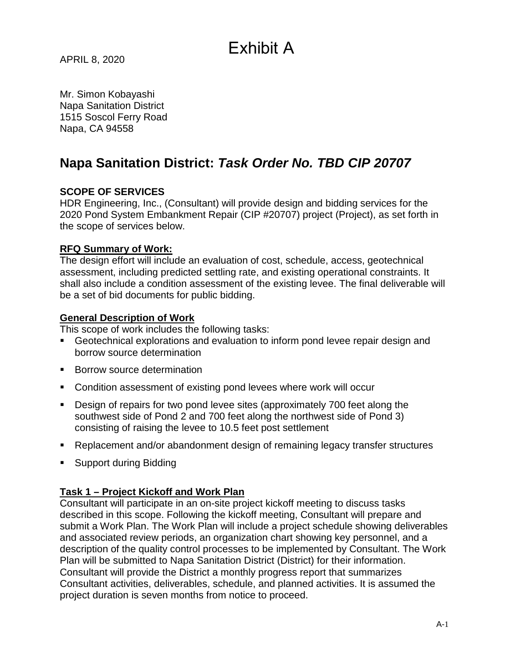# Exhibit A

APRIL 8, 2020

Mr. Simon Kobayashi Napa Sanitation District 1515 Soscol Ferry Road Napa, CA 94558

## **Napa Sanitation District:** *Task Order No. TBD CIP 20707*

#### **SCOPE OF SERVICES**

HDR Engineering, Inc., (Consultant) will provide design and bidding services for the 2020 Pond System Embankment Repair (CIP #20707) project (Project), as set forth in the scope of services below.

#### **RFQ Summary of Work:**

The design effort will include an evaluation of cost, schedule, access, geotechnical assessment, including predicted settling rate, and existing operational constraints. It shall also include a condition assessment of the existing levee. The final deliverable will be a set of bid documents for public bidding.

#### **General Description of Work**

This scope of work includes the following tasks:

- Geotechnical explorations and evaluation to inform pond levee repair design and borrow source determination
- **Borrow source determination**
- Condition assessment of existing pond levees where work will occur
- Design of repairs for two pond levee sites (approximately 700 feet along the southwest side of Pond 2 and 700 feet along the northwest side of Pond 3) consisting of raising the levee to 10.5 feet post settlement
- Replacement and/or abandonment design of remaining legacy transfer structures
- **Support during Bidding**

#### **Task 1 – Project Kickoff and Work Plan**

Consultant will participate in an on-site project kickoff meeting to discuss tasks described in this scope. Following the kickoff meeting, Consultant will prepare and submit a Work Plan. The Work Plan will include a project schedule showing deliverables and associated review periods, an organization chart showing key personnel, and a description of the quality control processes to be implemented by Consultant. The Work Plan will be submitted to Napa Sanitation District (District) for their information. Consultant will provide the District a monthly progress report that summarizes Consultant activities, deliverables, schedule, and planned activities. It is assumed the project duration is seven months from notice to proceed.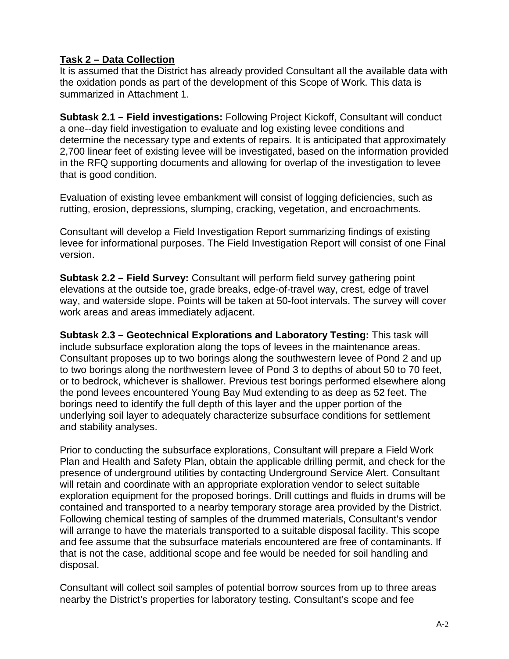#### **Task 2 – Data Collection**

It is assumed that the District has already provided Consultant all the available data with the oxidation ponds as part of the development of this Scope of Work. This data is summarized in Attachment 1.

**Subtask 2.1 – Field investigations:** Following Project Kickoff, Consultant will conduct a one--day field investigation to evaluate and log existing levee conditions and determine the necessary type and extents of repairs. It is anticipated that approximately 2,700 linear feet of existing levee will be investigated, based on the information provided in the RFQ supporting documents and allowing for overlap of the investigation to levee that is good condition.

Evaluation of existing levee embankment will consist of logging deficiencies, such as rutting, erosion, depressions, slumping, cracking, vegetation, and encroachments.

Consultant will develop a Field Investigation Report summarizing findings of existing levee for informational purposes. The Field Investigation Report will consist of one Final version.

**Subtask 2.2 – Field Survey:** Consultant will perform field survey gathering point elevations at the outside toe, grade breaks, edge-of-travel way, crest, edge of travel way, and waterside slope. Points will be taken at 50-foot intervals. The survey will cover work areas and areas immediately adjacent.

**Subtask 2.3 – Geotechnical Explorations and Laboratory Testing:** This task will include subsurface exploration along the tops of levees in the maintenance areas. Consultant proposes up to two borings along the southwestern levee of Pond 2 and up to two borings along the northwestern levee of Pond 3 to depths of about 50 to 70 feet, or to bedrock, whichever is shallower. Previous test borings performed elsewhere along the pond levees encountered Young Bay Mud extending to as deep as 52 feet. The borings need to identify the full depth of this layer and the upper portion of the underlying soil layer to adequately characterize subsurface conditions for settlement and stability analyses.

Prior to conducting the subsurface explorations, Consultant will prepare a Field Work Plan and Health and Safety Plan, obtain the applicable drilling permit, and check for the presence of underground utilities by contacting Underground Service Alert. Consultant will retain and coordinate with an appropriate exploration vendor to select suitable exploration equipment for the proposed borings. Drill cuttings and fluids in drums will be contained and transported to a nearby temporary storage area provided by the District. Following chemical testing of samples of the drummed materials, Consultant's vendor will arrange to have the materials transported to a suitable disposal facility. This scope and fee assume that the subsurface materials encountered are free of contaminants. If that is not the case, additional scope and fee would be needed for soil handling and disposal.

Consultant will collect soil samples of potential borrow sources from up to three areas nearby the District's properties for laboratory testing. Consultant's scope and fee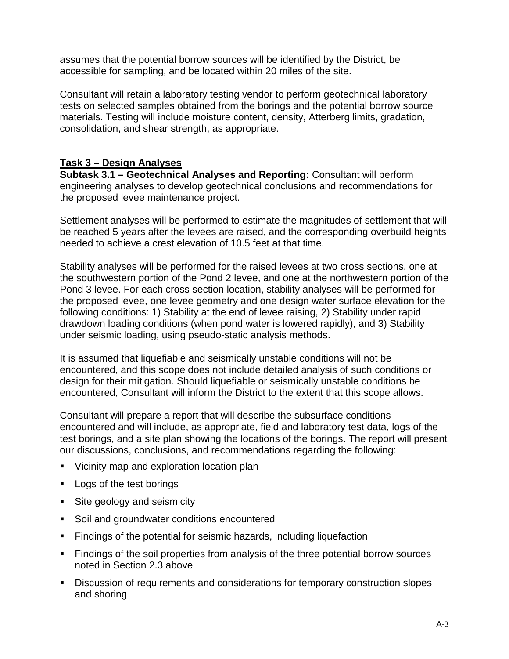assumes that the potential borrow sources will be identified by the District, be accessible for sampling, and be located within 20 miles of the site.

Consultant will retain a laboratory testing vendor to perform geotechnical laboratory tests on selected samples obtained from the borings and the potential borrow source materials. Testing will include moisture content, density, Atterberg limits, gradation, consolidation, and shear strength, as appropriate.

#### **Task 3 – Design Analyses**

**Subtask 3.1 – Geotechnical Analyses and Reporting:** Consultant will perform engineering analyses to develop geotechnical conclusions and recommendations for the proposed levee maintenance project.

Settlement analyses will be performed to estimate the magnitudes of settlement that will be reached 5 years after the levees are raised, and the corresponding overbuild heights needed to achieve a crest elevation of 10.5 feet at that time.

Stability analyses will be performed for the raised levees at two cross sections, one at the southwestern portion of the Pond 2 levee, and one at the northwestern portion of the Pond 3 levee. For each cross section location, stability analyses will be performed for the proposed levee, one levee geometry and one design water surface elevation for the following conditions: 1) Stability at the end of levee raising, 2) Stability under rapid drawdown loading conditions (when pond water is lowered rapidly), and 3) Stability under seismic loading, using pseudo-static analysis methods.

It is assumed that liquefiable and seismically unstable conditions will not be encountered, and this scope does not include detailed analysis of such conditions or design for their mitigation. Should liquefiable or seismically unstable conditions be encountered, Consultant will inform the District to the extent that this scope allows.

Consultant will prepare a report that will describe the subsurface conditions encountered and will include, as appropriate, field and laboratory test data, logs of the test borings, and a site plan showing the locations of the borings. The report will present our discussions, conclusions, and recommendations regarding the following:

- **Vicinity map and exploration location plan**
- **Logs of the test borings**
- Site geology and seismicity
- Soil and groundwater conditions encountered
- Findings of the potential for seismic hazards, including liquefaction
- **Findings of the soil properties from analysis of the three potential borrow sources** noted in Section 2.3 above
- Discussion of requirements and considerations for temporary construction slopes and shoring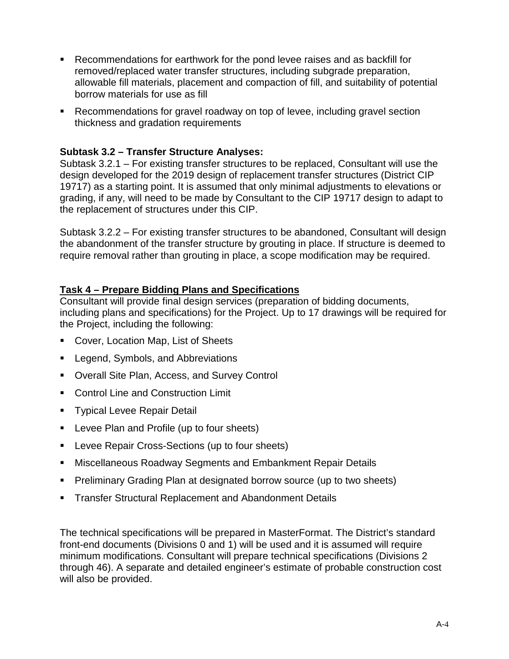- Recommendations for earthwork for the pond levee raises and as backfill for removed/replaced water transfer structures, including subgrade preparation, allowable fill materials, placement and compaction of fill, and suitability of potential borrow materials for use as fill
- Recommendations for gravel roadway on top of levee, including gravel section thickness and gradation requirements

#### **Subtask 3.2 – Transfer Structure Analyses:**

Subtask 3.2.1 – For existing transfer structures to be replaced, Consultant will use the design developed for the 2019 design of replacement transfer structures (District CIP 19717) as a starting point. It is assumed that only minimal adjustments to elevations or grading, if any, will need to be made by Consultant to the CIP 19717 design to adapt to the replacement of structures under this CIP.

Subtask 3.2.2 – For existing transfer structures to be abandoned, Consultant will design the abandonment of the transfer structure by grouting in place. If structure is deemed to require removal rather than grouting in place, a scope modification may be required.

#### **Task 4 – Prepare Bidding Plans and Specifications**

Consultant will provide final design services (preparation of bidding documents, including plans and specifications) for the Project. Up to 17 drawings will be required for the Project, including the following:

- Cover, Location Map, List of Sheets
- **Legend, Symbols, and Abbreviations**
- Overall Site Plan, Access, and Survey Control
- **Control Line and Construction Limit**
- **Typical Levee Repair Detail**
- **Levee Plan and Profile (up to four sheets)**
- **Levee Repair Cross-Sections (up to four sheets)**
- Miscellaneous Roadway Segments and Embankment Repair Details
- **Preliminary Grading Plan at designated borrow source (up to two sheets)**
- **Transfer Structural Replacement and Abandonment Details**

The technical specifications will be prepared in MasterFormat. The District's standard front-end documents (Divisions 0 and 1) will be used and it is assumed will require minimum modifications. Consultant will prepare technical specifications (Divisions 2 through 46). A separate and detailed engineer's estimate of probable construction cost will also be provided.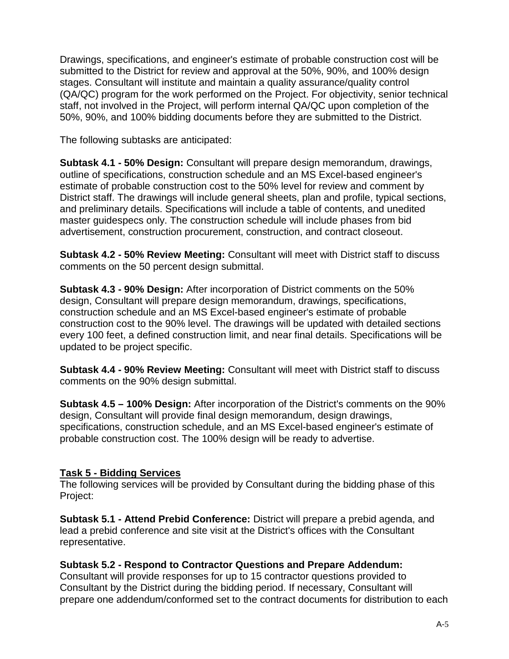Drawings, specifications, and engineer's estimate of probable construction cost will be submitted to the District for review and approval at the 50%, 90%, and 100% design stages. Consultant will institute and maintain a quality assurance/quality control (QA/QC) program for the work performed on the Project. For objectivity, senior technical staff, not involved in the Project, will perform internal QA/QC upon completion of the 50%, 90%, and 100% bidding documents before they are submitted to the District.

The following subtasks are anticipated:

**Subtask 4.1 - 50% Design:** Consultant will prepare design memorandum, drawings, outline of specifications, construction schedule and an MS Excel-based engineer's estimate of probable construction cost to the 50% level for review and comment by District staff. The drawings will include general sheets, plan and profile, typical sections, and preliminary details. Specifications will include a table of contents, and unedited master guidespecs only. The construction schedule will include phases from bid advertisement, construction procurement, construction, and contract closeout.

**Subtask 4.2 - 50% Review Meeting:** Consultant will meet with District staff to discuss comments on the 50 percent design submittal.

**Subtask 4.3 - 90% Design:** After incorporation of District comments on the 50% design, Consultant will prepare design memorandum, drawings, specifications, construction schedule and an MS Excel-based engineer's estimate of probable construction cost to the 90% level. The drawings will be updated with detailed sections every 100 feet, a defined construction limit, and near final details. Specifications will be updated to be project specific.

**Subtask 4.4 - 90% Review Meeting:** Consultant will meet with District staff to discuss comments on the 90% design submittal.

**Subtask 4.5 – 100% Design:** After incorporation of the District's comments on the 90% design, Consultant will provide final design memorandum, design drawings, specifications, construction schedule, and an MS Excel-based engineer's estimate of probable construction cost. The 100% design will be ready to advertise.

### **Task 5 - Bidding Services**

The following services will be provided by Consultant during the bidding phase of this Project:

**Subtask 5.1 - Attend Prebid Conference:** District will prepare a prebid agenda, and lead a prebid conference and site visit at the District's offices with the Consultant representative.

#### **Subtask 5.2 - Respond to Contractor Questions and Prepare Addendum:**

Consultant will provide responses for up to 15 contractor questions provided to Consultant by the District during the bidding period. If necessary, Consultant will prepare one addendum/conformed set to the contract documents for distribution to each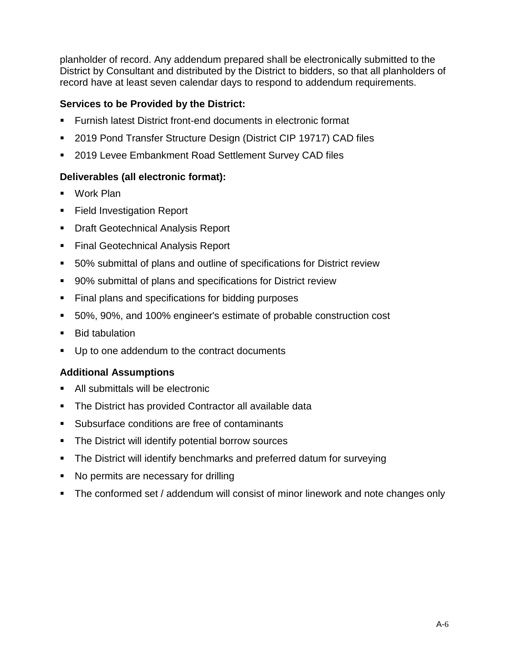planholder of record. Any addendum prepared shall be electronically submitted to the District by Consultant and distributed by the District to bidders, so that all planholders of record have at least seven calendar days to respond to addendum requirements.

#### **Services to be Provided by the District:**

- Furnish latest District front-end documents in electronic format
- 2019 Pond Transfer Structure Design (District CIP 19717) CAD files
- 2019 Levee Embankment Road Settlement Survey CAD files

#### **Deliverables (all electronic format):**

- Work Plan
- Field Investigation Report
- **Draft Geotechnical Analysis Report**
- Final Geotechnical Analysis Report
- 50% submittal of plans and outline of specifications for District review
- 90% submittal of plans and specifications for District review
- Final plans and specifications for bidding purposes
- 50%, 90%, and 100% engineer's estimate of probable construction cost
- **Bid tabulation**
- Up to one addendum to the contract documents

#### **Additional Assumptions**

- All submittals will be electronic
- The District has provided Contractor all available data
- Subsurface conditions are free of contaminants
- **The District will identify potential borrow sources**
- The District will identify benchmarks and preferred datum for surveying
- No permits are necessary for drilling
- The conformed set / addendum will consist of minor linework and note changes only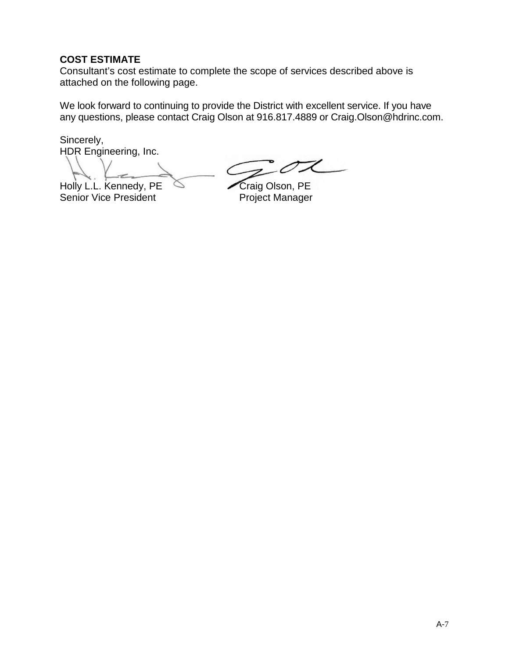#### **COST ESTIMATE**

Consultant's cost estimate to complete the scope of services described above is attached on the following page.

We look forward to continuing to provide the District with excellent service. If you have any questions, please contact Craig Olson at 916.817.4889 or Craig.Olson@hdrinc.com.

Sincerely, HDR Engineering, Inc.

Holly L.L. Kennedy, PE<br>
Senior Vice President<br>
Project Manager Senior Vice President

.C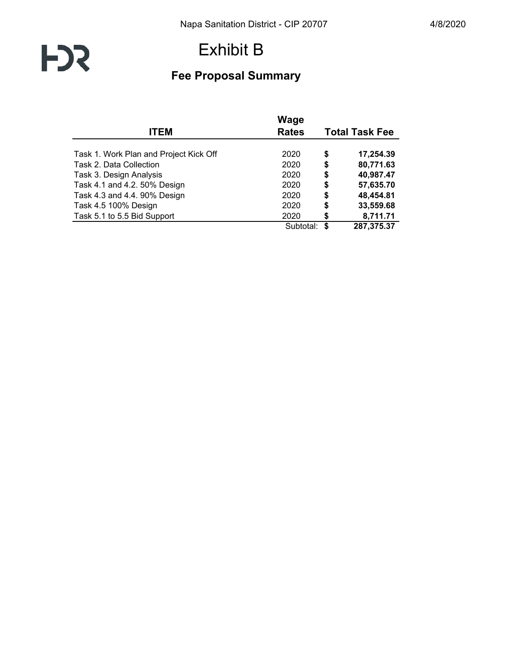# **FD3**

## Exhibit B

## **Fee Proposal Summary**

| <b>ITEM</b>                            | <b>Rates</b> | <b>Total Task Fee</b> |            |  |  |  |
|----------------------------------------|--------------|-----------------------|------------|--|--|--|
|                                        |              |                       |            |  |  |  |
| Task 1. Work Plan and Project Kick Off | 2020         | \$                    | 17,254.39  |  |  |  |
| Task 2. Data Collection                | 2020         | \$                    | 80,771.63  |  |  |  |
| Task 3. Design Analysis                | 2020         | \$                    | 40,987.47  |  |  |  |
| Task 4.1 and 4.2. 50% Design           | 2020         | \$                    | 57,635.70  |  |  |  |
| Task 4.3 and 4.4. 90% Design           | 2020         | \$                    | 48,454.81  |  |  |  |
| Task 4.5 100% Design                   | 2020         | \$                    | 33,559.68  |  |  |  |
| Task 5.1 to 5.5 Bid Support            | 2020         | \$                    | 8,711.71   |  |  |  |
|                                        | Subtotal:    | S                     | 287,375.37 |  |  |  |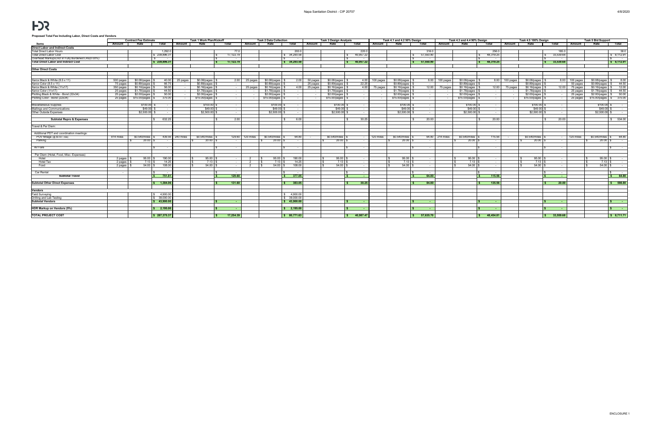# **FD3**

#### **Proposed Total Fee Including Labor, Direct Costs and Vendors**

|                                                                           | <b>Contract Fee Estimate</b> |               |                          |                  | <b>Task 1 Work Plan/Kickoff</b> |               | <b>Task 2 Data Collection</b> |               |                          |          | Task 3 Design Analysis |                          | Task 4.1 and 4.2 50% Design |               |                          |           | Task 4.3 and 4.4 90% Design |                       |           | Task 4.5 100% Design |                              |           | <b>Task 5 Bid Support</b> |                            |
|---------------------------------------------------------------------------|------------------------------|---------------|--------------------------|------------------|---------------------------------|---------------|-------------------------------|---------------|--------------------------|----------|------------------------|--------------------------|-----------------------------|---------------|--------------------------|-----------|-----------------------------|-----------------------|-----------|----------------------|------------------------------|-----------|---------------------------|----------------------------|
| Items                                                                     | Amount                       | Rate          | Total                    | Amount           | Rate                            | Total         | Amount                        | Rate          | Total                    | Amount   | Rate                   | Total                    | Amount                      | Rate          | Total                    | Amount    | Rate                        | Total                 | Amount    | Rate                 | Total                        | Amount    | Rate                      | Total                      |
| <b>Direct Labor and Indirect Costs</b>                                    |                              |               |                          |                  |                                 |               |                               |               |                          |          |                        |                          |                             |               |                          |           |                             |                       |           |                      |                              |           |                           |                            |
| Total Direct Labor Hours                                                  |                              |               | 1,292.0                  |                  |                                 |               |                               |               | 200.0                    |          |                        | 220.0                    |                             |               | 316.                     |           |                             | 256.0                 |           |                      | 185.                         |           |                           | 38.0                       |
| <b>Total Direct Labor Cost</b>                                            |                              |               | \$239,896.3              |                  |                                 | 17,122.79     |                               |               | \$34,293.58              |          |                        | 40,957.22                |                             |               | 57,550.90                |           |                             | 48,319.25             |           |                      | 33,539.68                    |           |                           | \$8,112.91                 |
| Overhead Markups:incl in Fully Burdened LRs(0.00%)                        |                              |               |                          |                  |                                 |               |                               |               |                          |          |                        |                          |                             |               |                          |           |                             |                       |           |                      |                              |           |                           |                            |
| <b>Total Direct Labor and Indirect Cost</b>                               |                              |               | \$239,896.31             |                  |                                 | 17,122.79     |                               |               | \$34,293.58              |          |                        | 40,957.22                |                             |               | 57,550.90<br>S.          |           |                             | 48.319.25             |           |                      | 33,539.68<br>$\ddot{\bm{z}}$ |           |                           | \$8,112.91                 |
|                                                                           |                              |               |                          |                  |                                 |               |                               |               |                          |          |                        |                          |                             |               |                          |           |                             |                       |           |                      |                              |           |                           |                            |
| <b>Other Direct Costs</b>                                                 |                              |               |                          |                  |                                 |               |                               |               |                          |          |                        |                          |                             |               |                          |           |                             |                       |           |                      |                              |           |                           |                            |
|                                                                           |                              |               |                          |                  |                                 |               |                               |               |                          |          |                        |                          |                             |               |                          |           |                             |                       |           |                      |                              |           |                           |                            |
|                                                                           |                              |               |                          |                  |                                 |               |                               |               |                          |          |                        |                          |                             |               |                          |           |                             |                       |           |                      |                              |           |                           |                            |
| Xerox Black & White (8.5 x 11)                                            | 500 pages                    | \$0.08/pages  | 40.00                    | 25 pages         | \$0.08/pages                    | 2.00          | 25 pages                      | \$0.08/pages  | 2.00                     | 50 pages | \$0.08/pages           | 4.00                     | 100 pages                   | \$0.08/pages  | 8.00                     | 100 pages | \$0.08/pages                | 8.00                  | 100 pages | \$0.08/pages         | 8.00                         | 100 pages | \$0.08/pages              | 8.00                       |
| Xerox Color (8.5 x 11)                                                    | 75 pages                     | \$0.89/pages  | 66.75                    |                  | \$0.89/pages                    |               |                               | \$0.89/pages  | $\overline{\phantom{a}}$ | 25 pages | \$0.89/pages           | 22.25                    |                             | \$0.89/pages  |                          |           | \$0.89/pages                |                       |           | \$0.89/pages         | $\sim$                       | 50 pages  | \$0.89/pages              | 44.50                      |
| Xerox Black & White (11x17)                                               | 350 pages                    | \$0.16/pages  | 56.00                    |                  | \$0.16/pages                    |               | 25 pages                      | \$0.16/pages  | 4.00                     | 25 pages | \$0.16/pages           | 4.00                     | 75 pages                    | \$0.16/pages  | 12.00                    | 75 pages  | \$0.16/pages                | 12.00                 | 75 pages  | \$0.16/pages         | 12.00                        | 75 pages  | \$0.16/pages              | 12.00                      |
| Xerox Color (11x17)                                                       | 25 pages                     | \$1.78/pages  | 44.50                    |                  | \$1.78/pages                    | $\sim$        |                               | \$1.78/pages  | $\sim$                   |          | $$1.78$ pages          |                          |                             | \$1.78/pages  | $\sim$                   |           | $$1.78$ pages               | $\sim$                |           | \$1.78/pages         | $\sim$                       | 25 pages  | \$1.78/pages              | 44.50                      |
| Plotting Black & White - Bond (22x34)                                     | 25 pages                     | \$2.00/pages  | 50.00                    |                  | \$2.00/pages                    | $\sim$ $-$    |                               | \$2.00/pages  | $\sim$                   |          | \$2.00/pages           | $\overline{\phantom{a}}$ |                             | \$2.00/pages  | $\sim$                   |           | \$2.00/pages                | $\sim$                |           | \$2.00/pages         | $\sim$                       | 25 pages  | \$2.00/pages              | 50.00                      |
| Plotting Color - Bond (22x34)                                             | 25 pages                     | \$15.00/pages | 375.00                   |                  | \$15.00/pages                   | $\sim$        |                               | \$15.00/pages | $\sim$                   |          | \$15.00/pages          | и.                       |                             | \$15.00/pages | $\sim$                   |           | $$15.00$ /pages             | $\sim$ $ \sim$        |           | \$15.00/pages        | $\sim$ $-$                   | 25 pages  | \$15.00/pages             | \$375.00                   |
|                                                                           |                              |               |                          |                  |                                 |               |                               |               |                          |          |                        |                          |                             |               |                          |           |                             |                       |           |                      |                              |           |                           |                            |
| <b>Miscellaneous Supplies</b>                                             |                              | \$100.00      |                          |                  | \$100.00                        | $\sim$        |                               | \$100.00      | $\sim$                   |          | \$100.00               |                          |                             | \$100.00      |                          |           | \$100.00                    | $\sim$                |           | \$100.00             | $\sim$                       |           | \$100.00                  | $\sim$                     |
| Mailings and Communications                                               |                              | \$49.00       | $\sim$                   |                  | \$49.00                         | $\sim$        |                               | \$49.00       | $\overline{\phantom{a}}$ |          | \$49.00                | и.                       |                             | \$49.00       | $\overline{\phantom{a}}$ |           | \$49.00                     | $\sim$                |           | \$49.00              | $\sim$                       |           | \$49.00                   | $\sim$                     |
| Other Outside Expenses                                                    |                              | \$2,500.00    | $\overline{\phantom{a}}$ |                  | \$2,500.00                      | $\sim$        |                               | \$2,500.00    | $\overline{\phantom{a}}$ |          | \$2,500.00             |                          |                             | \$2,500.00    |                          |           | \$2,500.00                  | $\sim$ $-$            |           | \$2,500.00           | $\sim$                       |           | \$2,500.00                |                            |
|                                                                           |                              |               |                          |                  |                                 |               |                               |               |                          |          |                        |                          |                             |               |                          |           |                             |                       |           |                      |                              |           |                           |                            |
| <b>Subtotal Repro &amp; Expenses</b>                                      |                              |               | 632.25                   |                  |                                 | 2.00          |                               |               | 6.00                     |          |                        | 30.25                    |                             |               | 20.00                    |           |                             | 20.00                 |           |                      | 20.00                        |           |                           | \$ 534.00                  |
|                                                                           |                              |               |                          |                  |                                 |               |                               |               |                          |          |                        |                          |                             |               |                          |           |                             |                       |           |                      |                              |           |                           |                            |
| Fravel & Per Diem:                                                        |                              |               |                          |                  |                                 |               |                               |               |                          |          |                        |                          |                             |               |                          |           |                             |                       |           |                      |                              |           |                           |                            |
|                                                                           |                              |               |                          |                  |                                 |               |                               |               |                          |          |                        |                          |                             |               |                          |           |                             |                       |           |                      |                              |           |                           |                            |
| Additional PDT and coordination meetings:<br>POV Milage (@ \$0.54 / mile) | 814 miles                    | \$0.540/miles |                          | 439.56 240 miles | \$0.540/miles                   | 129.60        | 120 miles                     | \$0,540/miles | 64.80                    |          | \$0,540/miles          |                          | 120 miles                   | \$0.540/miles | 64.80                    |           | \$0.540/miles               | 115.56                |           | \$0,540/miles        |                              | 120 miles | \$0.540/miles             | 64.80                      |
| Parking                                                                   |                              | 20.00         | $\sim$ $-$               |                  | 20.00                           | $\sim$ $\sim$ |                               | 20.00         | $\sim$                   |          | 20.00                  | $\sim$                   |                             | 20.00         | $\sim$                   | 214 miles | 20.00                       | $\sim$ 100 $\sim$     |           | 20.00                | $\sim$<br>$\sim$ $-$         |           | 20.00                     | $\sim 10^{-11}$            |
|                                                                           |                              |               |                          |                  |                                 |               |                               |               |                          |          |                        |                          |                             |               |                          |           |                             |                       |           |                      |                              |           |                           |                            |
| Air Fare                                                                  |                              |               | $\sim$                   |                  |                                 | $\sim$        |                               |               | $\sim$                   |          |                        | $\overline{\phantom{a}}$ |                             |               | $\sim$                   |           |                             | $\sim$                |           |                      | $\sim$ $-$                   |           |                           | $\sim 100$ km s $^{-1}$    |
|                                                                           |                              |               |                          |                  |                                 |               |                               |               |                          |          |                        |                          |                             |               |                          |           |                             |                       |           |                      |                              |           |                           |                            |
| Per Diem (Hotel, Food, Misc, Expenses)                                    |                              |               |                          |                  |                                 |               |                               |               |                          |          |                        |                          |                             |               |                          |           |                             |                       |           |                      |                              |           |                           |                            |
| Hotel                                                                     | 2 pages                      | $95.00$ \$    | 190.00                   |                  | 95.00                           |               |                               | 95.00         | 190.00                   |          | 95.00                  |                          |                             | 95.00         | $\sim$                   |           | 95.00                       | $\sim$                |           | 95.00                | $\sim$                       |           | 95.00                     | $\sim$ $-$                 |
| Hotel Tax                                                                 | 2 pages                      | $7.13$ \$     | 14.25                    |                  | 7.13                            | $\sim$        | $\overline{2}$                | 7.13          | 14.25                    |          | 7.13                   |                          |                             | 7.13          | $\sim$                   |           | 7.13                        | $\sim$ $ \sim$        |           | 7.13                 | $\sim$                       |           | 7.13                      | $\sim$ $-$                 |
| Food                                                                      | 2 pages                      | 54.00 \$      | 108.00                   |                  | 54.00                           |               | $\mathcal{D}$                 | 54.00         | 108.00                   |          | 54.00                  |                          |                             | 54.00         |                          |           | 54.00                       | $\sim$                |           | 54.00                | $\sim$                       |           | 54.00                     |                            |
|                                                                           |                              |               |                          |                  |                                 |               |                               |               |                          |          |                        |                          |                             |               |                          |           |                             |                       |           |                      |                              |           |                           |                            |
| Car Rental                                                                |                              |               |                          |                  |                                 |               |                               |               |                          |          |                        |                          |                             |               |                          |           |                             |                       |           |                      | $\sim$                       |           |                           |                            |
| <b>Subtotal Travel</b>                                                    |                              |               | 751.81                   |                  |                                 | 129.60        |                               |               | 377.05                   |          |                        |                          |                             |               | 64.80                    |           |                             | 115.56                |           |                      | <b><i><u>ALCO</u></i></b>    |           |                           | 64.80                      |
|                                                                           |                              |               |                          |                  |                                 |               |                               |               |                          |          |                        |                          |                             |               |                          |           |                             |                       |           |                      |                              |           |                           |                            |
| <b>Subtotal Other Direct Expenses</b>                                     |                              |               | \$ 1,384.06              |                  |                                 | 131.60        |                               |               | 383.05                   |          |                        | 30.25                    |                             |               | 84.80                    |           |                             | 135.56                |           |                      | 20.00                        |           |                           | \$598.80                   |
|                                                                           |                              |               |                          |                  |                                 |               |                               |               |                          |          |                        |                          |                             |               |                          |           |                             |                       |           |                      |                              |           |                           |                            |
| Vendors                                                                   |                              |               |                          |                  |                                 |               |                               |               |                          |          |                        |                          |                             |               |                          |           |                             |                       |           |                      |                              |           |                           |                            |
| <b>Field Surveying</b>                                                    |                              |               | \$ 4,900.00              |                  |                                 |               |                               |               | \$ 4,900.00              |          |                        |                          |                             |               |                          |           |                             |                       |           |                      |                              |           |                           |                            |
| Drilling and Lab Testing                                                  |                              |               | \$39,000,00              |                  |                                 |               |                               |               | \$39,000.0               |          |                        |                          |                             |               |                          |           |                             |                       |           |                      |                              |           |                           |                            |
| <b>Subtotal Vendors</b>                                                   |                              |               | \$ 43.900.00             |                  |                                 |               |                               |               | \$ 43.900.00             |          |                        | $\sim$                   |                             |               |                          |           |                             | <b>Contract</b>       |           |                      | - 14                         |           |                           | <b>Contractor</b><br>∣\$ ∶ |
|                                                                           |                              |               |                          |                  |                                 |               |                               |               |                          |          |                        |                          |                             |               |                          |           |                             |                       |           |                      |                              |           |                           |                            |
| HDR Markup on Vendors (5%)                                                |                              |               | \$ 2,195.00              |                  |                                 |               |                               |               | \$ 2,195.00              |          |                        |                          |                             |               |                          |           |                             |                       |           |                      |                              |           |                           | $S = 1$                    |
|                                                                           |                              |               |                          |                  |                                 |               |                               |               |                          |          |                        |                          |                             |               |                          |           |                             |                       |           |                      |                              |           |                           |                            |
| <b>TOTAL PROJECT COST</b>                                                 |                              |               | \$287,375.37             |                  |                                 | 17,254.39     |                               |               | \$80,771.63              |          |                        | 40,987.47                |                             |               | $\frac{1}{5}$ 57,635.70  |           |                             | 48,454.81<br><b>S</b> |           |                      | \$33,559.68                  |           |                           | $\frac{1}{2}$ \$ 8,711.71  |
|                                                                           |                              |               |                          |                  |                                 |               |                               |               |                          |          |                        |                          |                             |               |                          |           |                             |                       |           |                      |                              |           |                           |                            |